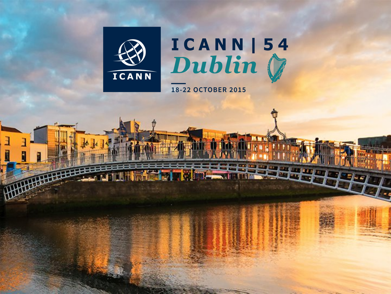

ā

# ICANN | 54<br>Dublin (

**18-22 OCTOBER 2015**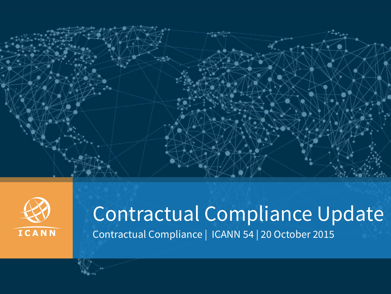



### Contractual Compliance Update Contractual Compliance | ICANN 54 | 20 October 2015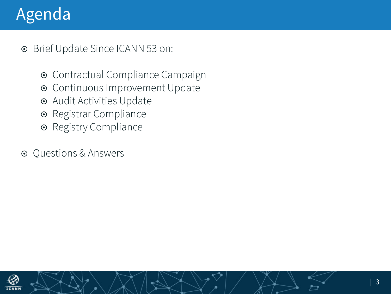### Agenda

¤ Brief Update Since ICANN 53 on: 

- $\odot$  Contractual Compliance Campaign
- $\odot$  Continuous Improvement Update
- $\odot$  Audit Activities Update
- Registrar Compliance
- $\odot$  Registry Compliance
- **◎** Questions & Answers

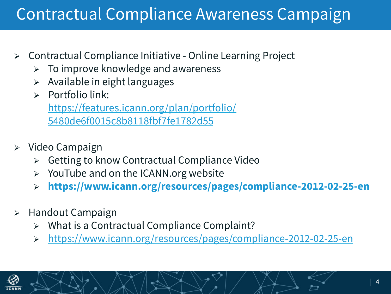### Contractual Compliance Awareness Campaign

- $\triangleright$  Contractual Compliance Initiative Online Learning Project
	- $\triangleright$  To improve knowledge and awareness
	- $\triangleright$  Available in eight languages
	- Portfolio link:

https://features.icann.org/plan/portfolio/ 5480de6f0015c8b8118fbf7fe1782d55

- $\triangleright$  Video Campaign
	- $\triangleright$  Getting to know Contractual Compliance Video
	- $\triangleright$  YouTube and on the ICANN.org website
	- Ø **https://www.icann.org/resources/pages/compliance-2012-02-25-en**
- $\triangleright$  Handout Campaign
	- What is a Contractual Compliance Complaint?
	- Ø https://www.icann.org/resources/pages/compliance-2012-02-25-en

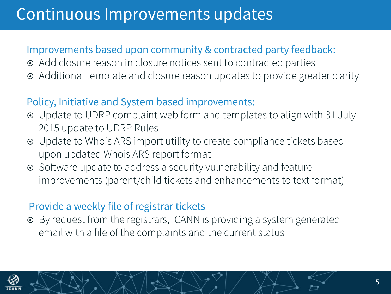### Continuous Improvements updates

#### Improvements based upon community & contracted party feedback:

- $\odot$  Add closure reason in closure notices sent to contracted parties
- Additional template and closure reason updates to provide greater clarity

#### Policy, Initiative and System based improvements:

- Update to UDRP complaint web form and templates to align with 31 July 2015 update to UDRP Rules
- ¤ Update to Whois ARS import utility to create compliance tickets based upon updated Whois ARS report format
- Software update to address a security vulnerability and feature improvements (parent/child tickets and enhancements to text format)

#### Provide a weekly file of registrar tickets

¤ By request from the registrars, ICANN is providing a system generated email with a file of the complaints and the current status

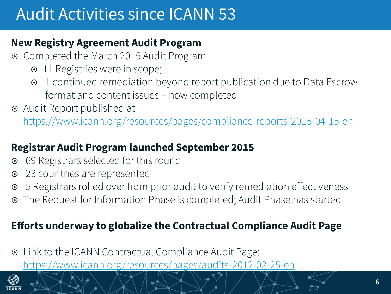### Audit Activities since ICANN 53

#### **New Registry Agreement Audit Program**

- ¤ Completed the March 2015 Audit Program
	- 11 Registries were in scope;
	- ¤ 1 continued remediation beyond report publication due to Data Escrow format and content issues – now completed
- ¤ Audit Report published at

https://www.icann.org/resources/pages/compliance-reports-2015-04-15-en

#### **Registrar Audit Program launched September 2015**

- 69 Registrars selected for this round
- 23 countries are represented
- 5 Registrars rolled over from prior audit to verify remediation effectiveness
- The Request for Information Phase is completed; Audit Phase has started

#### **Efforts underway to globalize the Contractual Compliance Audit Page**

¤ Link to the ICANN Contractual Compliance Audit Page: https://www.icann.org/resources/pages/audits-2012-02-25-en

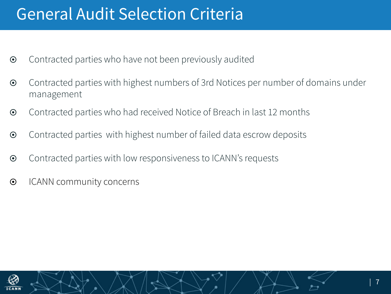### General Audit Selection Criteria

- $\odot$  Contracted parties who have not been previously audited
- ¤ Contracted parties with highest numbers of 3rd Notices per number of domains under management
- $\odot$  Contracted parties who had received Notice of Breach in last 12 months
- $\odot$  Contracted parties with highest number of failed data escrow deposits
- $\odot$  Contracted parties with low responsiveness to ICANN's requests
- $\odot$  ICANN community concerns

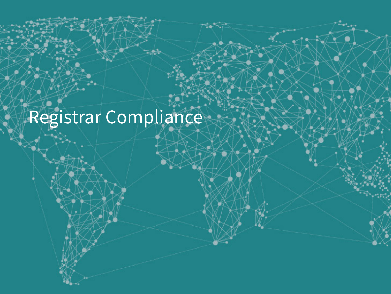## Registrar Compliance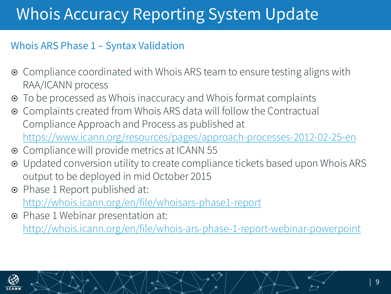### Whois Accuracy Reporting System Update

#### Whois ARS Phase 1 – Syntax Validation

- Compliance coordinated with Whois ARS team to ensure testing aligns with RAA/ICANN process
- To be processed as Whois inaccuracy and Whois format complaints
- ¤ Complaints created from Whois ARS data will follow the Contractual Compliance Approach and Process as published at https://www.icann.org/resources/pages/approach-processes-2012-02-25-en
- ¤ Compliance will provide metrics at ICANN 55
- ¤ Updated conversion utility to create compliance tickets based upon Whois ARS output to be deployed in mid October 2015
- ¤ Phase 1 Report published at: http://whois.icann.org/en/file/whoisars-phase1-report
- ¤ Phase 1 Webinar presentation at: http://whois.icann.org/en/file/whois-ars-phase-1-report-webinar-powerpoint

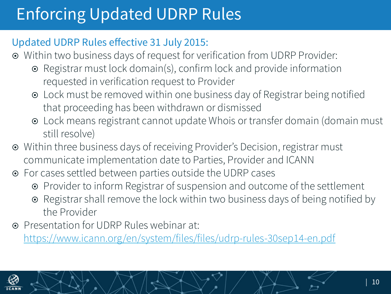### Enforcing Updated UDRP Rules

#### Updated UDRP Rules effective 31 July 2015:

- ¤ Within two business days of request for verification from UDRP Provider:
	- ¤ Registrar must lock domain(s), confirm lock and provide information requested in verification request to Provider
	- Lock must be removed within one business day of Registrar being notified that proceeding has been withdrawn or dismissed
	- Lock means registrant cannot update Whois or transfer domain (domain must still resolve)
- Within three business days of receiving Provider's Decision, registrar must communicate implementation date to Parties, Provider and ICANN
- ¤ For cases settled between parties outside the UDRP cases
	- Provider to inform Registrar of suspension and outcome of the settlement
	- Registrar shall remove the lock within two business days of being notified by the Provider
- ¤ Presentation for UDRP Rules webinar at:

https://www.icann.org/en/system/files/files/udrp-rules-30sep14-en.pdf

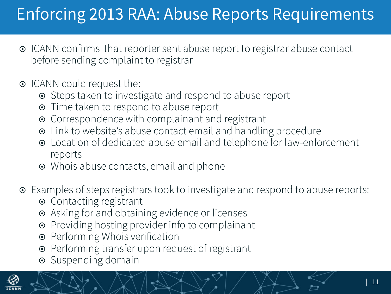### Enforcing 2013 RAA: Abuse Reports Requirements

- **■** ICANN confirms that reporter sent abuse report to registrar abuse contact before sending complaint to registrar
- ICANN could request the:
	- Steps taken to investigate and respond to abuse report
	- Time taken to respond to abuse report
	- Correspondence with complainant and registrant
	- ¤ Link to website's abuse contact email and handling procedure
	- ¤ Location of dedicated abuse email and telephone for law-enforcement reports
	- Whois abuse contacts, email and phone
- ¤ Examples of steps registrars took to investigate and respond to abuse reports:
	- Contacting registrant
	- Asking for and obtaining evidence or licenses
	- Providing hosting provider info to complainant
	- Performing Whois verification
	- Performing transfer upon request of registrant
	- Suspending domain

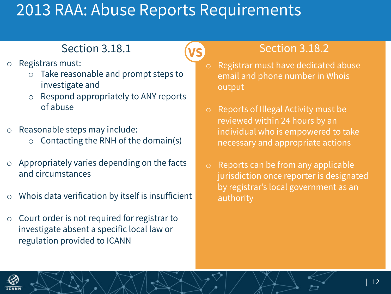### 2013 RAA: Abuse Reports Requirements

**VS**

- o Registrars must:
	- o Take reasonable and prompt steps to investigate and
	- o Respond appropriately to ANY reports of abuse
- o Reasonable steps may include:
	- $\circ$  Contacting the RNH of the domain(s)
- o Appropriately varies depending on the facts and circumstances
- o Whois data verification by itself is insufficient
- o Court order is not required for registrar to investigate absent a specific local law or regulation provided to ICANN

#### Section 3.18.1  $\overline{\mathbf{M}}$  Section 3.18.2

- o Registrar must have dedicated abuse email and phone number in Whois output
- o Reports of Illegal Activity must be reviewed within 24 hours by an individual who is empowered to take necessary and appropriate actions
- o Reports can be from any applicable jurisdiction once reporter is designated by registrar's local government as an authority

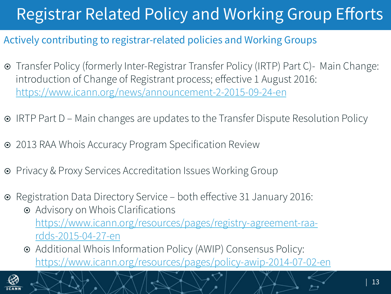### Registrar Related Policy and Working Group Efforts

#### Actively contributing to registrar-related policies and Working Groups

- ¤ Transfer Policy (formerly Inter-Registrar Transfer Policy (IRTP) Part C)- Main Change: introduction of Change of Registrant process; effective 1 August 2016: https://www.icann.org/news/announcement-2-2015-09-24-en
- **IRTP Part D Main changes are updates to the Transfer Dispute Resolution Policy**
- $\odot$  2013 RAA Whois Accuracy Program Specification Review
- Privacy & Proxy Services Accreditation Issues Working Group
- ¤ Registration Data Directory Service both effective 31 January 2016:
	- Advisory on Whois Clarifications https://www.icann.org/resources/pages/registry-agreement-raardds-2015-04-27-en
	- ¤ Additional Whois Information Policy (AWIP) Consensus Policy: https://www.icann.org/resources/pages/policy-awip-2014-07-02-en

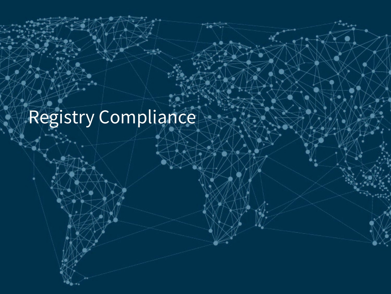Registry Compliance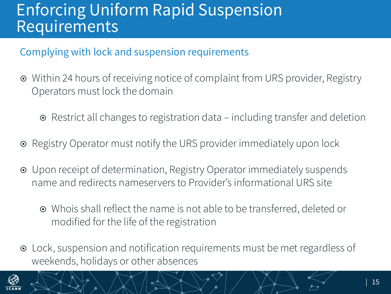#### Enforcing Uniform Rapid Suspension **Requirements**

#### Complying with lock and suspension requirements

- Within 24 hours of receiving notice of complaint from URS provider, Registry Operators must lock the domain
	- $\odot$  Restrict all changes to registration data including transfer and deletion
- Registry Operator must notify the URS provider immediately upon lock
- ¤ Upon receipt of determination, Registry Operator immediately suspends name and redirects nameservers to Provider's informational URS site
	- Whois shall reflect the name is not able to be transferred, deleted or modified for the life of the registration
- ¤ Lock, suspension and notification requirements must be met regardless of weekends, holidays or other absences

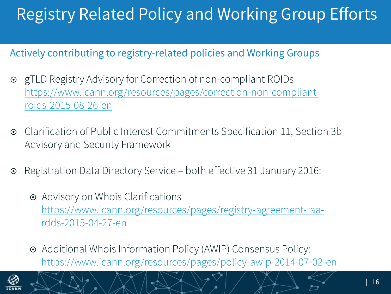### Registry Related Policy and Working Group Efforts

#### Actively contributing to registry-related policies and Working Groups

- ¤ gTLD Registry Advisory for Correction of non-compliant ROIDs https://www.icann.org/resources/pages/correction-non-compliantroids-2015-08-26-en
- ¤ Clarification of Public Interest Commitments Specification 11, Section 3b Advisory and Security Framework
- **■** Registration Data Directory Service both effective 31 January 2016:
	- Advisory on Whois Clarifications https://www.icann.org/resources/pages/registry-agreement-raardds-2015-04-27-en
	- ¤ Additional Whois Information Policy (AWIP) Consensus Policy: https://www.icann.org/resources/pages/policy-awip-2014-07-02-en